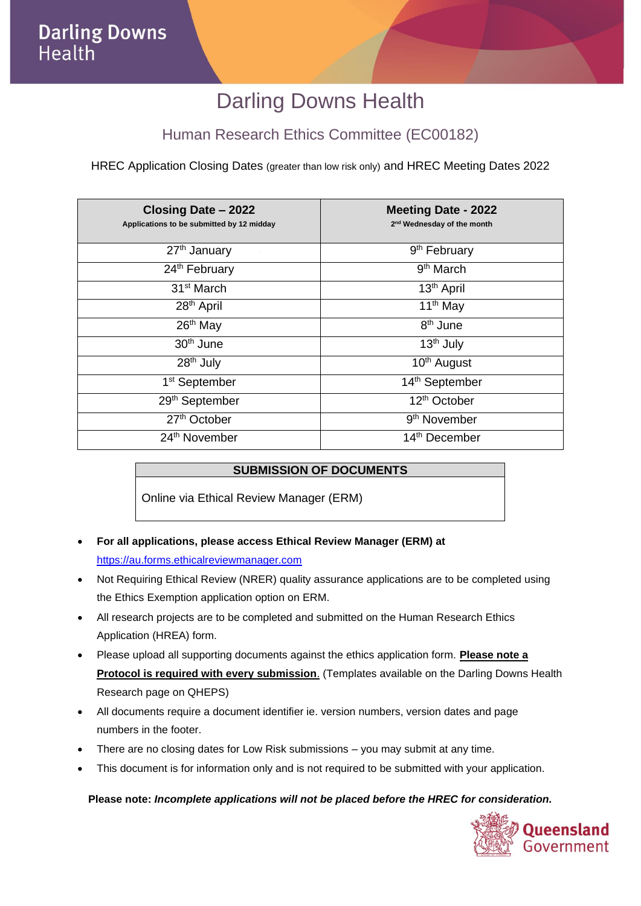# Darling Downs Health

### Human Research Ethics Committee (EC00182)

HREC Application Closing Dates (greater than low risk only) and HREC Meeting Dates 2022

| Closing Date - 2022<br>Applications to be submitted by 12 midday | <b>Meeting Date - 2022</b><br>2 <sup>nd</sup> Wednesday of the month |
|------------------------------------------------------------------|----------------------------------------------------------------------|
| 27 <sup>th</sup> January                                         | 9 <sup>th</sup> February                                             |
| 24 <sup>th</sup> February                                        | 9 <sup>th</sup> March                                                |
| 31 <sup>st</sup> March                                           | $13th$ April                                                         |
| 28 <sup>th</sup> April                                           | 11 <sup>th</sup> May                                                 |
| 26 <sup>th</sup> May                                             | 8 <sup>th</sup> June                                                 |
| 30 <sup>th</sup> June                                            | 13 <sup>th</sup> July                                                |
| 28 <sup>th</sup> July                                            | 10 <sup>th</sup> August                                              |
| 1 <sup>st</sup> September                                        | 14 <sup>th</sup> September                                           |
| 29th September                                                   | 12 <sup>th</sup> October                                             |
| 27th October                                                     | 9 <sup>th</sup> November                                             |
| 24th November                                                    | 14th December                                                        |

#### **SUBMISSION OF DOCUMENTS**

Online via Ethical Review Manager (ERM)

- **For all applications, please access Ethical Review Manager (ERM) at**  [https://au.forms.ethicalreviewmanager.com](https://au.forms.ethicalreviewmanager.com/)
- Not Requiring Ethical Review (NRER) quality assurance applications are to be completed using the Ethics Exemption application option on ERM.
- All research projects are to be completed and submitted on the Human Research Ethics Application (HREA) form.
- Please upload all supporting documents against the ethics application form. **Please note a Protocol is required with every submission**. (Templates available on the Darling Downs Health Research page on QHEPS)
- All documents require a document identifier ie. version numbers, version dates and page numbers in the footer.
- There are no closing dates for Low Risk submissions you may submit at any time.
- This document is for information only and is not required to be submitted with your application.

#### **Please note:** *Incomplete applications will not be placed before the HREC for consideration.*

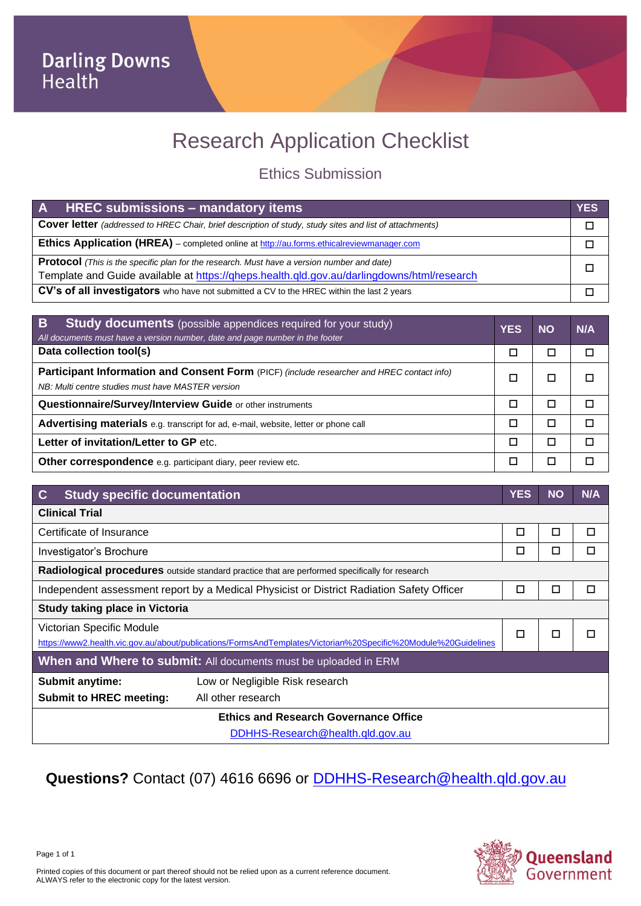# Research Application Checklist

### Ethics Submission

| A HREC submissions - mandatory items                                                                    | <b>YES</b> |
|---------------------------------------------------------------------------------------------------------|------------|
| Cover letter (addressed to HREC Chair, brief description of study, study sites and list of attachments) |            |
| <b>Ethics Application (HREA)</b> – completed online at http://au.forms.ethicalreviewmanager.com         |            |
| <b>Protocol</b> (This is the specific plan for the research. Must have a version number and date)       |            |
| Template and Guide available at https://gheps.health.gld.gov.au/darlingdowns/html/research              |            |
| CV's of all investigators who have not submitted a CV to the HREC within the last 2 years               |            |

| $\overline{B}$<br><b>Study documents</b> (possible appendices required for your study)<br>All documents must have a version number, date and page number in the footer | <b>YES</b> | <b>NO</b> | N/A |
|------------------------------------------------------------------------------------------------------------------------------------------------------------------------|------------|-----------|-----|
| Data collection tool(s)                                                                                                                                                |            |           |     |
| Participant Information and Consent Form (PICF) (include researcher and HREC contact info)<br>NB: Multi centre studies must have MASTER version                        |            |           |     |
| Questionnaire/Survey/Interview Guide or other instruments                                                                                                              |            |           |     |
| Advertising materials e.g. transcript for ad, e-mail, website, letter or phone call                                                                                    |            |           |     |
| Letter of invitation/Letter to GP etc.                                                                                                                                 | П          |           |     |
| Other correspondence e.g. participant diary, peer review etc.                                                                                                          |            |           |     |

| $\mathbf C$<br><b>Study specific documentation</b>                                                                                          |                                  | <b>YES</b> | <b>NO</b> | N/A |
|---------------------------------------------------------------------------------------------------------------------------------------------|----------------------------------|------------|-----------|-----|
| <b>Clinical Trial</b>                                                                                                                       |                                  |            |           |     |
| Certificate of Insurance                                                                                                                    |                                  | □          | □         | □   |
| Investigator's Brochure                                                                                                                     |                                  | □          | □         | □   |
| Radiological procedures outside standard practice that are performed specifically for research                                              |                                  |            |           |     |
| Independent assessment report by a Medical Physicist or District Radiation Safety Officer                                                   |                                  | □          | □         | □   |
| Study taking place in Victoria                                                                                                              |                                  |            |           |     |
| Victorian Specific Module<br>https://www2.health.vic.gov.au/about/publications/FormsAndTemplates/Victorian%20Specific%20Module%20Guidelines |                                  | п          | п         | П   |
| When and Where to submit: All documents must be uploaded in ERM                                                                             |                                  |            |           |     |
| <b>Submit anytime:</b>                                                                                                                      | Low or Negligible Risk research  |            |           |     |
| <b>Submit to HREC meeting:</b>                                                                                                              | All other research               |            |           |     |
| <b>Ethics and Research Governance Office</b>                                                                                                |                                  |            |           |     |
|                                                                                                                                             | DDHHS-Research@health.qld.gov.au |            |           |     |

## **Questions?** Contact (07) 4616 6696 or [DDHHS-Research@health.qld.gov.au](mailto:DDHHS-Research@health.qld.gov.au)